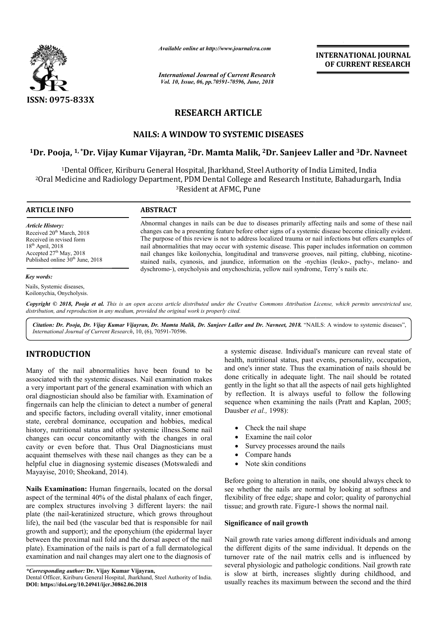

*Available online at http://www.journalcra.com*

*International Journal of Current Research Vol. 10, Issue, 06, pp.70591-70596, June, 2018*

**INTERNATIONAL JOURNAL OF CURRENT RESEARCH**

# **RESEARCH ARTICLE**

## **NAILS: A WINDOW TO SYSTEMIC DISEASES**

## **1Dr. Pooja, 1, \*Dr. Vijay Kumar Vijayran, 2Dr. Mamta Malik, 2Dr. Sanjeev Laller and Dr. and 3Dr. Navneet**

1Dental Officer, Kiriburu General Hospital, Jharkhand, Steel Authority of India Limited, India <sup>2</sup>Oral Medicine and Radiology Department, PDM Dental College and Research Institute, Bahadurgarh, India<br><sup>3</sup>Resident at AFMC, Pune

#### **ARTICLE INFO ABSTRACT**

*Article History:* Received 20<sup>th</sup> March, 2018 Received in revised form  $18<sup>th</sup>$  April, 2018 Accepted 27<sup>th</sup> May, 2018 Published online 30<sup>th</sup> June, 2018

#### *Key words:*

Nails, Systemic diseases, Koilonychia, Onycholysis.

Abnormal changes in nails can be due to diseases primarily affecting nails and some of these nail changes can be a presenting feature before other signs of a systemic disease become clinically evident. Abnormal changes in nails can be due to diseases primarily affecting nails and some of these nail changes can be a presenting feature before other signs of a systemic disease become clinically evident.<br>The purpose of this nail abnormalities that may occur with systemic disease. This paper includes information on common nail changes like koilonychia, longitudinal and transverse grooves, nail pitting, clubbing, nicotinestained nails, cyanosis, and jaundice, information on the -nychias (leuko-, pachy-, melano- and dyschromo-), onycholysis and onychoschizia, yellow nail syndrome, Terry's nails etc.

Copyright © 2018, Pooja et al. This is an open access article distributed under the Creative Commons Attribution License, which permits unrestricted use, *distribution, and reproduction in any medium, provided the original work is properly cited.*

Citation: Dr. Pooja, Dr. Vijay Kumar Vijayran, Dr. Mamta Malik, Dr. Sanjeev Laller and Dr. Navneet, 2018. "NAILS: A window to systemic diseases", *International Journal of Current Research*, 10, (6), 70591 70591-70596.

## **INTRODUCTION**

Many of the nail abnormalities have been found to be associated with the systemic diseases. Nail examination makes a very important part of the general examination with which an oral diagnostician should also be familiar with. Examination of fingernails can help the clinician to detect a number of general and specific factors, including overall vitality, inner emotional state, cerebral dominance, occupation and hobbies, medical history, nutritional status and other systemic illness.Some nail changes can occur concomitantly with the changes in oral cavity or even before that. Thus Oral Diagnosticians must acquaint themselves with these nail changes as they can be a helpful clue in diagnosing systemic diseases (Motswaledi and Mayayise, 2010; Sheokand, 2014).

**Nails Examination:** Human fingernails, located on the dorsal aspect of the terminal 40% of the distal phalanx of each finger, are complex structures involving 3 different layers: the nail plate (the nail-keratinized structure, which grows throughout life), the nail bed (the vascular bed that is responsible for nail growth and support); and the eponychium (the epidermal layer between the proximal nail fold and the dorsal aspect of the nail plate). Examination of the nails is part of a full dermatological examination and nail changes may alert one to the diagnosis of keratinized structure, which grows throughout<br>ed (the vascular bed that is responsible for nail<br>port); and the eponychium (the epidermal layer<br>oximal nail fold and the dorsal aspect of the nail<br>tition of the nails is part

*\*Corresponding author:* **Dr. Vijay Kumar Vijayran,** 

a systemic disease. Individual's manicure can reveal state of health, nutritional status, past events, personality, occupation, and one's inner state. Thus the examination of nails should be done critically in adequate light. The nail should be rotated gently in the light so that all the aspects of nail gets highlighted health, nutritional status, past events, personality, occupation, and one's inner state. Thus the examination of nails should be done critically in adequate light. The nail should be rotated gently in the light so that all sequence when examining the nails (Pratt and Kaplan, 2005; Dausber *et al.,* 1998): **EXERCTIONAL COURNEL CONTINUM CONTINUM CONTINUM CONTINUM CONTINUM CONTINUM CONTINUM CONTINUM CONTINUM (ASSEMENT) THEONEY THE SPACE THEONEY THEONEY THEONEY THEONEY THEONEY THEONEY CHERE THEONEY CHERE THEONEY CHERE THEONEY** 

- Check the nail shape
- Examine the nail color
- Survey processes around the nails
- Compare hands
- Note skin conditions

Before going to alteration in nails, one should always check to see whether the nails are normal by looking at softness and flexibility of free edge; shape and color; quality of paronychial tissue; and growth rate. Figure-1 shows the normal nail. in nails, one should always check to<br>normal by looking at softness and<br>ape and color; quality of paronychial<br>gure-1 shows the normal nail.

#### **Significance of nail growth**

Nail growth rate varies among different individuals and among the different digits of the same individual. It depends on the turnover rate of the nail matrix cells and is influenced by several physiologic and pathologic conditions. Nail growth rate is slow at birth, increases slightly during childhood, and usually reaches its maximum between the second and the third

Dental Officer, Kiriburu General Hospital, Jharkhand, Steel Authority of India **DOI: https://doi.org/10.24941/ijcr.30862.06.2018**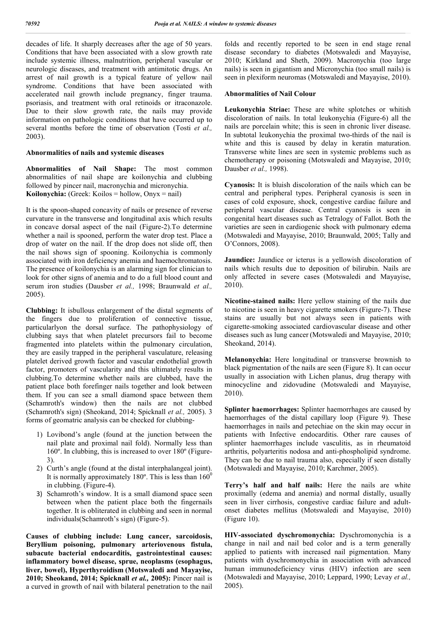decades of life. It sharply decreases after the age of 50 years. Conditions that have been associated with a slow growth rate include systemic illness, malnutrition, peripheral vascular or neurologic diseases, and treatment with antimitotic drugs. An arrest of nail growth is a typical feature of yellow nail syndrome. Conditions that have been associated with accelerated nail growth include pregnancy, finger trauma. psoriasis, and treatment with oral retinoids or itraconazole. Due to their slow growth rate, the nails may provide information on pathologic conditions that have occurred up to several months before the time of observation (Tosti *et al.,*  2003).

#### **Abnormalities of nails and systemic diseases**

**Abnormalities of Nail Shape:** The most common abnormalities of nail shape are koilonychia and clubbing followed by pincer nail, macronychia and micronychia. **Koilonychia:** (Greek: Koilos = hollow, Onyx = nail)

It is the spoon-shaped concavity of nails or presence of reverse curvature in the transverse and longitudinal axis which results in concave dorsal aspect of the nail (Figure-2).To determine whether a nail is spooned, perform the water drop test. Place a drop of water on the nail. If the drop does not slide off, then the nail shows sign of spooning. Koilonychia is commonly associated with iron deficiency anemia and haemochromatosis. The presence of koilonychia is an alarming sign for clinician to look for other signs of anemia and to do a full blood count and serum iron studies (Dausber *et al.,* 1998; Braunwald *et al.,*  2005).

**Clubbing:** It isbullous enlargement of the distal segments of the fingers due to proliferation of connective tissue, particularlyon the dorsal surface. The pathophysiology of clubbing says that when platelet precursors fail to become fragmented into platelets within the pulmonary circulation, they are easily trapped in the peripheral vasculature, releasing platelet derived growth factor and vascular endothelial growth factor, promoters of vascularity and this ultimately results in clubbing.To determine whether nails are clubbed, have the patient place both forefinger nails together and look between them. If you can see a small diamond space between them (Schamroth's window) then the nails are not clubbed (Schamroth's sign) (Sheokand, 2014; Spicknall *et al.,* 2005). 3 forms of geomatric analysis can be checked for clubbing-

- 1) Lovibond's angle (found at the junction between the nail plate and proximal nail fold). Normally less than 160º. In clubbing, this is increased to over 180º (Figure-3).
- 2) Curth's angle (found at the distal interphalangeal joint). It is normally approximately 180 $^{\circ}$ . This is less than 160 $^{\circ}$ in clubbing. (Figure-4).
- 3) Schamroth's window. It is a small diamond space seen between when the patient place both the fingernails together. It is obliterated in clubbing and seen in normal individuals(Schamroth's sign) (Figure-5).

**Causes of clubbing include: Lung cancer, sarcoidosis, Beryllium poisoning, pulmonary arteriovenous fistula, subacute bacterial endocarditis, gastrointestinal causes: inflammatory bowel disease, sprue, neoplasms (esophagus, liver, bowel), Hyperthyroidism (Motswaledi and Mayayise, 2010; Sheokand, 2014; Spicknall** *et al.,* **2005):** Pincer nail is a curved in growth of nail with bilateral penetration to the nail folds and recently reported to be seen in end stage renal disease secondary to diabetes (Motswaledi and Mayayise, 2010; Kirkland and Sheth, 2009). Macronychia (too large nails) is seen in gigantism and Micronychia (too small nails) is seen in plexiform neuromas (Motswaledi and Mayayise, 2010).

### **Abnormalities of Nail Colour**

**Leukonychia Striae:** These are white splotches or whitish discoloration of nails. In total leukonychia (Figure-6) all the nails are porcelain white; this is seen in chronic liver disease. In subtotal leukonychia the proximal two-thirds of the nail is white and this is caused by delay in keratin maturation. Transverse white lines are seen in systemic problems such as chemotherapy or poisoning (Motswaledi and Mayayise, 2010; Dausber *et al.,* 1998).

**Cyanosis:** It is bluish discoloration of the nails which can be central and peripheral types. Peripheral cyanosis is seen in cases of cold exposure, shock, congestive cardiac failure and peripheral vascular disease. Central cyanosis is seen in congenital heart diseases such as Tetralogy of Fallot. Both the varieties are seen in cardiogenic shock with pulmonary edema (Motswaledi and Mayayise, 2010; Braunwald, 2005; Tally and O'Connors, 2008).

**Jaundice:** Jaundice or icterus is a yellowish discoloration of nails which results due to deposition of bilirubin. Nails are only affected in severe cases (Motswaledi and Mayayise, 2010).

**Nicotine-stained nails:** Here yellow staining of the nails due to nicotine is seen in heavy cigarette smokers (Figure-7). These stains are usually but not always seen in patients with cigarette-smoking associated cardiovascular disease and other diseases such as lung cancer (Motswaledi and Mayayise, 2010; Sheokand, 2014).

**Melanonychia:** Here longitudinal or transverse brownish to black pigmentation of the nails are seen (Figure 8). It can occur usually in association with Lichen planus, drug therapy with minocycline and zidovudine (Motswaledi and Mayayise, 2010).

**Splinter haemorrhages:** Splinter haemorrhages are caused by haemorrhages of the distal capillary loop (Figure 9). These haemorrhages in nails and petechiae on the skin may occur in patients with Infective endocarditis. Other rare causes of splinter haemorrhages include vasculitis, as in rheumatoid arthritis, polyarteritis nodosa and anti-phospholipid syndrome. They can be due to nail trauma also, especially if seen distally (Motswaledi and Mayayise, 2010; Karchmer, 2005).

**Terry's half and half nails:** Here the nails are white proximally (edema and anemia) and normal distally, usually seen in liver cirrhosis, congestive cardiac failure and adultonset diabetes mellitus (Motswaledi and Mayayise, 2010) (Figure 10).

**HIV-associated dyschromonychia:** Dyschromonychia is a change in nail and nail bed color and is a term generally applied to patients with increased nail pigmentation. Many patients with dyschromonychia in association with advanced human immunodeficiency virus (HIV) infection are seen (Motswaledi and Mayayise, 2010; Leppard, 1990; Levay *et al.,*  2005).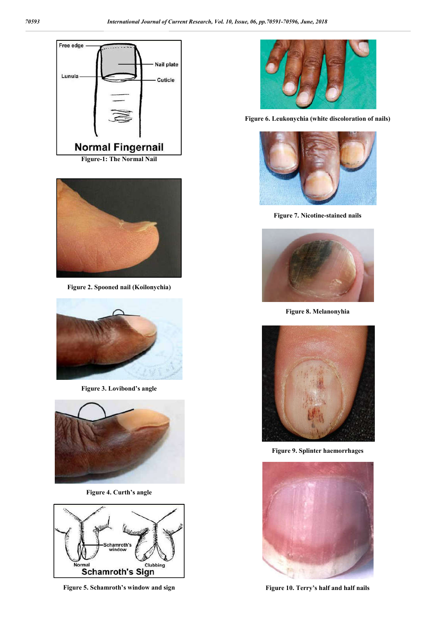



**Figure 2. Spooned nail (Koilonychia)**



**Figure 3. Lovibond's angle**



**Figure 4. Curth's angle**



**Figure 5. Schamroth's window and sign**



**Figure 6. Leukonychia (white discoloration of nails)**



**Figure 7. Nicotine-stained nails**



**Figure 8. Melanonyhia**



**Figure 9. Splinter haemorrhages**



**Figure 10. Terry's half and half nails**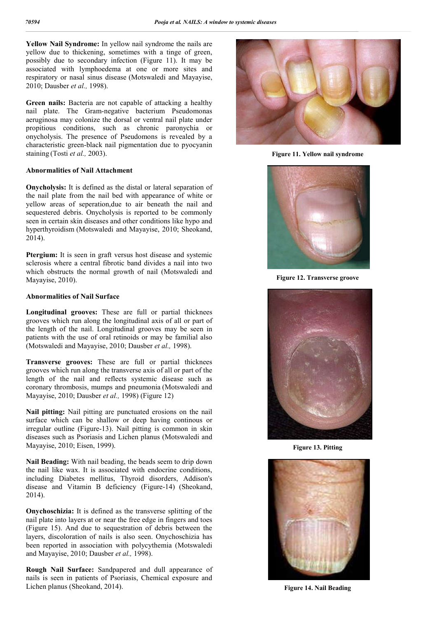**Yellow Nail Syndrome:** In yellow nail syndrome the nails are yellow due to thickening, sometimes with a tinge of green, possibly due to secondary infection (Figure 11). It may be associated with lymphoedema at one or more sites and respiratory or nasal sinus disease (Motswaledi and Mayayise, 2010; Dausber *et al.,* 1998).

**Green nails:** Bacteria are not capable of attacking a healthy nail plate. The Gram-negative bacterium Pseudomonas aeruginosa may colonize the dorsal or ventral nail plate under propitious conditions, such as chronic paronychia or onycholysis. The presence of Pseudomons is revealed by a characteristic green-black nail pigmentation due to pyocyanin staining (Tosti *et al.,* 2003).

#### **Abnormalities of Nail Attachment**

**Onycholysis:** It is defined as the distal or lateral separation of the nail plate from the nail bed with appearance of white or yellow areas of seperation,due to air beneath the nail and sequestered debris. Onycholysis is reported to be commonly seen in certain skin diseases and other conditions like hypo and hyperthyroidism (Motswaledi and Mayayise, 2010; Sheokand, 2014).

**Ptergium:** It is seen in graft versus host disease and systemic sclerosis where a central fibrotic band divides a nail into two which obstructs the normal growth of nail (Motswaledi and Mayayise, 2010).

#### **Abnormalities of Nail Surface**

**Longitudinal grooves:** These are full or partial thicknees grooves which run along the longitudinal axis of all or part of the length of the nail. Longitudinal grooves may be seen in patients with the use of oral retinoids or may be familial also (Motswaledi and Mayayise, 2010; Dausber *et al.,* 1998).

**Transverse grooves:** These are full or partial thicknees grooves which run along the transverse axis of all or part of the length of the nail and reflects systemic disease such as coronary thrombosis, mumps and pneumonia (Motswaledi and Mayayise, 2010; Dausber *et al.,* 1998) (Figure 12)

**Nail pitting:** Nail pitting are punctuated erosions on the nail surface which can be shallow or deep having continous or irregular outline (Figure-13). Nail pitting is common in skin diseases such as Psoriasis and Lichen planus (Motswaledi and Mayayise, 2010; Eisen, 1999).

**Nail Beading:** With nail beading, the beads seem to drip down the nail like wax. It is associated with endocrine conditions, including Diabetes mellitus, Thyroid disorders, Addison's disease and Vitamin B deficiency (Figure-14) (Sheokand, 2014).

**Onychoschizia:** It is defined as the transverse splitting of the nail plate into layers at or near the free edge in fingers and toes (Figure 15). And due to sequestration of debris between the layers, discoloration of nails is also seen. Onychoschizia has been reported in association with polycythemia (Motswaledi and Mayayise, 2010; Dausber *et al.,* 1998).

**Rough Nail Surface:** Sandpapered and dull appearance of nails is seen in patients of Psoriasis, Chemical exposure and Lichen planus (Sheokand, 2014).



**Figure 11. Yellow nail syndrome**



**Figure 12. Transverse groove**



**Figure 13. Pitting**



**Figure 14. Nail Beading**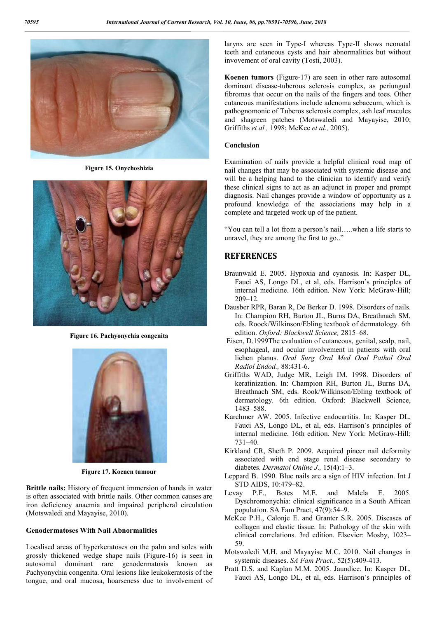

**Figure 15. Onychoshizia**



**Figure 16. Pachyonychia congenita**



**Figure 17. Koenen tumour**

**Brittle nails:** History of frequent immersion of hands in water is often associated with brittle nails. Other common causes are iron deficiency anaemia and impaired peripheral circulation (Motswaledi and Mayayise, 2010).

### **Genodermatoses With Nail Abnormalities**

Localised areas of hyperkeratoses on the palm and soles with grossly thickened wedge shape nails (Figure-16) is seen in autosomal dominant rare genodermatosis known as Pachyonychia congenita. Oral lesions like leukokeratosis of the tongue, and oral mucosa, hoarseness due to involvement of larynx are seen in Type-I whereas Type-II shows neonatal teeth and cutaneous cysts and hair abnormalities but without invovement of oral cavity (Tosti, 2003).

**Koenen tumors** (Figure-17) are seen in other rare autosomal dominant disease-tuberous sclerosis complex, as periungual fibromas that occur on the nails of the fingers and toes. Other cutaneous manifestations include adenoma sebaceum, which is pathognomonic of Tuberos sclerosis complex, ash leaf macules and shagreen patches (Motswaledi and Mayayise, 2010; Griffiths *et al.,* 1998; McKee *et al.,* 2005).

#### **Conclusion**

Examination of nails provide a helpful clinical road map of nail changes that may be associated with systemic disease and will be a helping hand to the clinician to identify and verify these clinical signs to act as an adjunct in proper and prompt diagnosis. Nail changes provide a window of opportunity as a profound knowledge of the associations may help in a complete and targeted work up of the patient.

"You can tell a lot from a person's nail…..when a life starts to unravel, they are among the first to go.."

## **REFERENCES**

- Braunwald E. 2005. Hypoxia and cyanosis. In: Kasper DL, Fauci AS, Longo DL, et al, eds. Harrison's principles of internal medicine. 16th edition. New York: McGraw-Hill; 209–12.
- Dausber RPR, Baran R, De Berker D. 1998. Disorders of nails. In: Champion RH, Burton JL, Burns DA, Breathnach SM, eds. Roock/Wilkinson/Ebling textbook of dermatology. 6th edition. *Oxford: Blackwell Science,* 2815–68.
- Eisen, D.1999The evaluation of cutaneous, genital, scalp, nail, esophageal, and ocular involvement in patients with oral lichen planus. *Oral Surg Oral Med Oral Pathol Oral Radiol Endod.,* 88:431-6.
- Griffiths WAD, Judge MR, Leigh IM. 1998. Disorders of keratinization. In: Champion RH, Burton JL, Burns DA, Breathnach SM, eds. Rook/Wilkinson/Ebling textbook of dermatology. 6th edition. Oxford: Blackwell Science, 1483–588.
- Karchmer AW. 2005. Infective endocartitis. In: Kasper DL, Fauci AS, Longo DL, et al, eds. Harrison's principles of internal medicine. 16th edition. New York: McGraw-Hill; 731–40.
- Kirkland CR, Sheth P. 2009. Acquired pincer nail deformity associated with end stage renal disease secondary to diabetes. *Dermatol Online J.,* 15(4):1–3.
- Leppard B. 1990. Blue nails are a sign of HIV infection. Int J STD AIDS, 10:479–82.
- Levay P.F., Botes M.E. and Malela E. 2005. Dyschromonychia: clinical significance in a South African population. SA Fam Pract, 47(9):54–9.
- McKee P.H., Calonje E. and Granter S.R. 2005. Diseases of collagen and elastic tissue. In: Pathology of the skin with clinical correlations. 3rd edition. Elsevier: Mosby, 1023– 59.
- Motswaledi M.H. and Mayayise M.C. 2010. Nail changes in systemic diseases. *SA Fam Pract.,* 52(5):409-413.
- Pratt D.S. and Kaplan M.M. 2005. Jaundice. In: Kasper DL, Fauci AS, Longo DL, et al, eds. Harrison's principles of